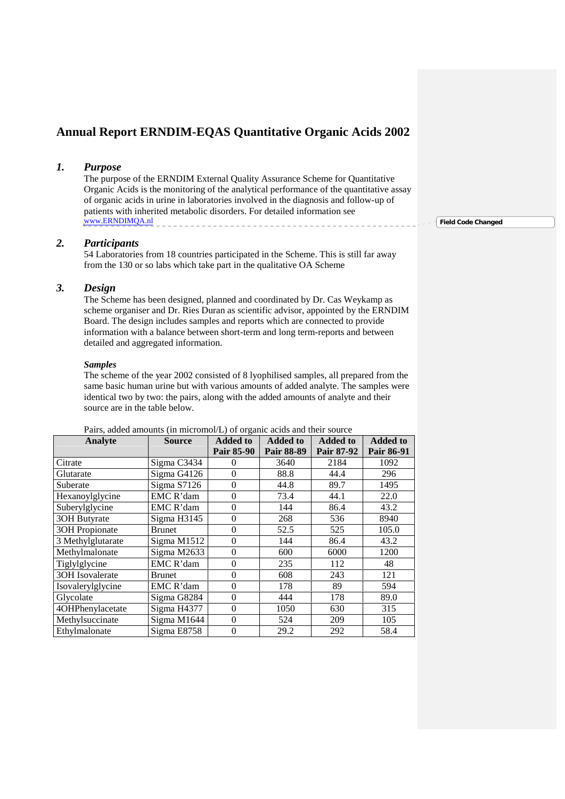# **Annual Report ERNDIM-EQAS Quantitative Organic Acids 2002**

### *1. Purpose*

The purpose of the ERNDIM External Quality Assurance Scheme for Quantitative Organic Acids is the monitoring of the analytical performance of the quantitative assay of organic acids in urine in laboratories involved in the diagnosis and follow-up of patients with inherited metabolic disorders. For detailed information see www.ERNDIMQA.nl

### *2. Participants*

54 Laboratories from 18 countries participated in the Scheme. This is still far away from the 130 or so labs which take part in the qualitative OA Scheme

### *3. Design*

The Scheme has been designed, planned and coordinated by Dr. Cas Weykamp as scheme organiser and Dr. Ries Duran as scientific advisor, appointed by the ERNDIM Board. The design includes samples and reports which are connected to provide information with a balance between short-term and long term-reports and between detailed and aggregated information.

#### *Samples*

The scheme of the year 2002 consisted of 8 lyophilised samples, all prepared from the same basic human urine but with various amounts of added analyte. The samples were identical two by two: the pairs, along with the added amounts of analyte and their source are in the table below.

| Analyte               | <b>Source</b> | <b>Added to</b> | <b>Added to</b>   | <b>Added to</b> | <b>Added to</b> |
|-----------------------|---------------|-----------------|-------------------|-----------------|-----------------|
|                       |               | Pair 85-90      | <b>Pair 88-89</b> | Pair 87-92      | Pair 86-91      |
| Citrate               | Sigma C3434   | $_{0}$          | 3640              | 2184            | 1092            |
| Glutarate             | Sigma G4126   | $\overline{0}$  | 88.8              | 44.4            | 296             |
| Suberate              | Sigma S7126   | $\theta$        | 44.8              | 89.7            | 1495            |
| Hexanoylglycine       | EMC R'dam     | $\theta$        | 73.4              | 44.1            | 22.0            |
| Suberylglycine        | EMC R'dam     | $\overline{0}$  | 144               | 86.4            | 43.2            |
| 30H Butyrate          | Sigma H3145   | $\overline{0}$  | 268               | 536             | 8940            |
| <b>3OH</b> Propionate | Brunet        | $\overline{0}$  | 52.5              | 525             | 105.0           |
| 3 Methylglutarate     | Sigma M1512   | $\overline{0}$  | 144               | 86.4            | 43.2            |
| Methylmalonate        | Sigma M2633   | $\theta$        | 600               | 6000            | 1200            |
| Tiglylglycine         | EMC R'dam     | $\overline{0}$  | 235               | 112             | 48              |
| 3OH Isovalerate       | Brunet        | $\overline{0}$  | 608               | 243             | 121             |
| Isovalerylglycine     | EMC R'dam     | $\theta$        | 178               | 89              | 594             |
| Glycolate             | Sigma G8284   | $\theta$        | 444               | 178             | 89.0            |
| 4OHPhenylacetate      | Sigma H4377   | $\theta$        | 1050              | 630             | 315             |
| Methylsuccinate       | Sigma M1644   | $\overline{0}$  | 524               | 209             | 105             |
| Ethylmalonate         | Sigma E8758   | $\theta$        | 29.2              | 292             | 58.4            |

Pairs, added amounts (in micromol/L) of organic acids and their source

**Field Code Changed**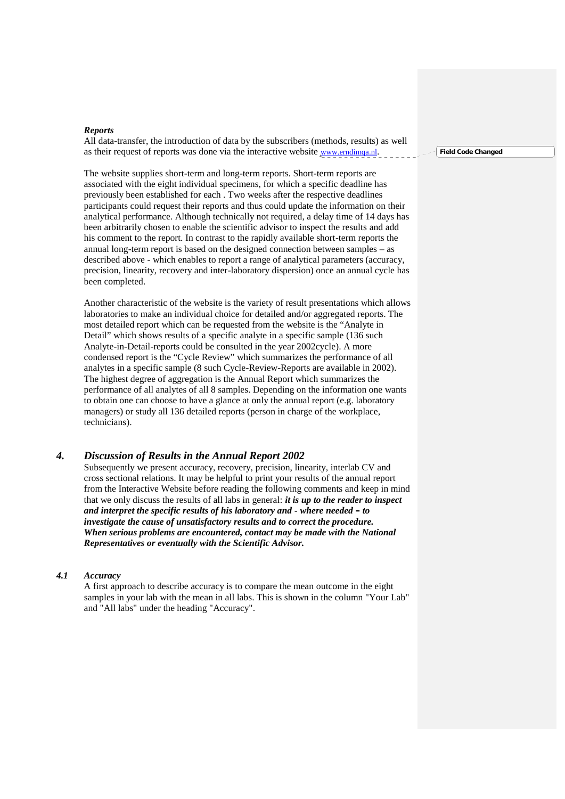#### *Reports*

All data-transfer, the introduction of data by the subscribers (methods, results) as well as their request of reports was done via the interactive website www.erndimqa.nl.

The website supplies short-term and long-term reports. Short-term reports are associated with the eight individual specimens, for which a specific deadline has previously been established for each . Two weeks after the respective deadlines participants could request their reports and thus could update the information on their analytical performance. Although technically not required, a delay time of 14 days has been arbitrarily chosen to enable the scientific advisor to inspect the results and add his comment to the report. In contrast to the rapidly available short-term reports the annual long-term report is based on the designed connection between samples – as described above - which enables to report a range of analytical parameters (accuracy, precision, linearity, recovery and inter-laboratory dispersion) once an annual cycle has been completed.

Another characteristic of the website is the variety of result presentations which allows laboratories to make an individual choice for detailed and/or aggregated reports. The most detailed report which can be requested from the website is the "Analyte in Detail" which shows results of a specific analyte in a specific sample (136 such Analyte-in-Detail-reports could be consulted in the year 2002cycle). A more condensed report is the "Cycle Review" which summarizes the performance of all analytes in a specific sample (8 such Cycle-Review-Reports are available in 2002). The highest degree of aggregation is the Annual Report which summarizes the performance of all analytes of all 8 samples. Depending on the information one wants to obtain one can choose to have a glance at only the annual report (e.g. laboratory managers) or study all 136 detailed reports (person in charge of the workplace, technicians).

### *4. Discussion of Results in the Annual Report 2002*

Subsequently we present accuracy, recovery, precision, linearity, interlab CV and cross sectional relations. It may be helpful to print your results of the annual report from the Interactive Website before reading the following comments and keep in mind that we only discuss the results of all labs in general: *it is up to the reader to inspect and interpret the specific results of his laboratory and - where needed – to investigate the cause of unsatisfactory results and to correct the procedure. When serious problems are encountered, contact may be made with the National Representatives or eventually with the Scientific Advisor.*

#### *4.1 Accuracy*

A first approach to describe accuracy is to compare the mean outcome in the eight samples in your lab with the mean in all labs. This is shown in the column "Your Lab" and "All labs" under the heading "Accuracy".

**Field Code Changed**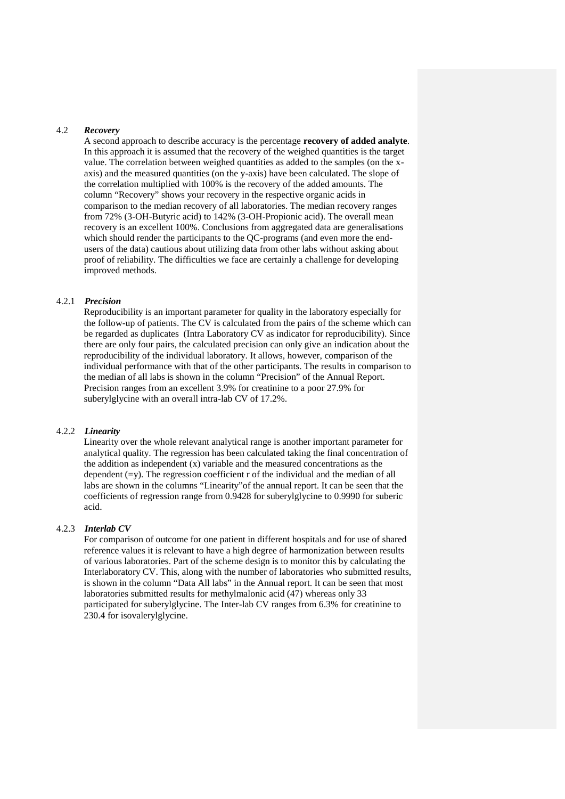### 4.2 *Recovery*

A second approach to describe accuracy is the percentage **recovery of added analyte**. In this approach it is assumed that the recovery of the weighed quantities is the target value. The correlation between weighed quantities as added to the samples (on the x axis) and the measured quantities (on the y-axis) have been calculated. The slope of the correlation multiplied with 100% is the recovery of the added amounts. The column "Recovery" shows your recovery in the respective organic acids in comparison to the median recovery of all laboratories. The median recovery ranges from 72% (3-OH-Butyric acid) to 142% (3-OH-Propionic acid). The overall mean recovery is an excellent 100%. Conclusions from aggregated data are generalisations which should render the participants to the QC-programs (and even more the end users of the data) cautious about utilizing data from other labs without asking about proof of reliability. The difficulties we face are certainly a challenge for developing improved methods.

#### 4.2.1 *Precision*

Reproducibility is an important parameter for quality in the laboratory especially for the follow-up of patients. The CV is calculated from the pairs of the scheme which can be regarded as duplicates (Intra Laboratory CV as indicator for reproducibility). Since there are only four pairs, the calculated precision can only give an indication about the reproducibility of the individual laboratory. It allows, however, comparison of the individual performance with that of the other participants. The results in comparison to the median of all labs is shown in the column "Precision" of the Annual Report. Precision ranges from an excellent 3.9% for creatinine to a poor 27.9% for suberylglycine with an overall intra-lab CV of 17.2%.

#### 4.2.2 *Linearity*

Linearity over the whole relevant analytical range is another important parameter for analytical quality. The regression has been calculated taking the final concentration of the addition as independent (x) variable and the measured concentrations as the dependent  $(=v)$ . The regression coefficient r of the individual and the median of all labs are shown in the columns "Linearity"of the annual report. It can be seen that the coefficients of regression range from 0.9428 for suberylglycine to 0.9990 for suberic acid.

#### 4.2.3 *Interlab CV*

For comparison of outcome for one patient in different hospitals and for use of shared reference values it is relevant to have a high degree of harmonization between results of various laboratories. Part of the scheme design is to monitor this by calculating the Interlaboratory CV. This, along with the number of laboratories who submitted results, is shown in the column "Data All labs" in the Annual report. It can be seen that most laboratories submitted results for methylmalonic acid (47) whereas only 33 participated for suberylglycine. The Inter-lab CV ranges from 6.3% for creatinine to 230.4 for isovalerylglycine.